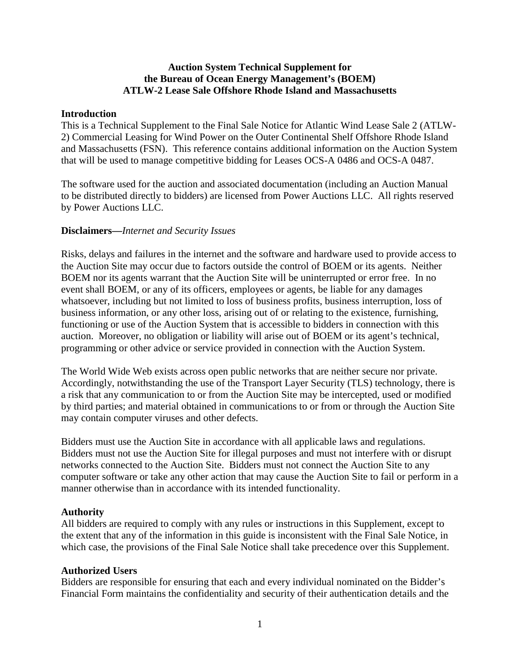### **Auction System Technical Supplement for the Bureau of Ocean Energy Management's (BOEM) ATLW-2 Lease Sale Offshore Rhode Island and Massachusetts**

### **Introduction**

This is a Technical Supplement to the Final Sale Notice for Atlantic Wind Lease Sale 2 (ATLW-2) Commercial Leasing for Wind Power on the Outer Continental Shelf Offshore Rhode Island and Massachusetts (FSN). This reference contains additional information on the Auction System that will be used to manage competitive bidding for Leases OCS-A 0486 and OCS-A 0487.

The software used for the auction and associated documentation (including an Auction Manual to be distributed directly to bidders) are licensed from Power Auctions LLC. All rights reserved by Power Auctions LLC.

### **Disclaimers—***Internet and Security Issues*

Risks, delays and failures in the internet and the software and hardware used to provide access to the Auction Site may occur due to factors outside the control of BOEM or its agents. Neither BOEM nor its agents warrant that the Auction Site will be uninterrupted or error free. In no event shall BOEM, or any of its officers, employees or agents, be liable for any damages whatsoever, including but not limited to loss of business profits, business interruption, loss of business information, or any other loss, arising out of or relating to the existence, furnishing, functioning or use of the Auction System that is accessible to bidders in connection with this auction. Moreover, no obligation or liability will arise out of BOEM or its agent's technical, programming or other advice or service provided in connection with the Auction System.

The World Wide Web exists across open public networks that are neither secure nor private. Accordingly, notwithstanding the use of the Transport Layer Security (TLS) technology, there is a risk that any communication to or from the Auction Site may be intercepted, used or modified by third parties; and material obtained in communications to or from or through the Auction Site may contain computer viruses and other defects.

Bidders must use the Auction Site in accordance with all applicable laws and regulations. Bidders must not use the Auction Site for illegal purposes and must not interfere with or disrupt networks connected to the Auction Site. Bidders must not connect the Auction Site to any computer software or take any other action that may cause the Auction Site to fail or perform in a manner otherwise than in accordance with its intended functionality.

### **Authority**

All bidders are required to comply with any rules or instructions in this Supplement, except to the extent that any of the information in this guide is inconsistent with the Final Sale Notice, in which case, the provisions of the Final Sale Notice shall take precedence over this Supplement.

### **Authorized Users**

Bidders are responsible for ensuring that each and every individual nominated on the Bidder's Financial Form maintains the confidentiality and security of their authentication details and the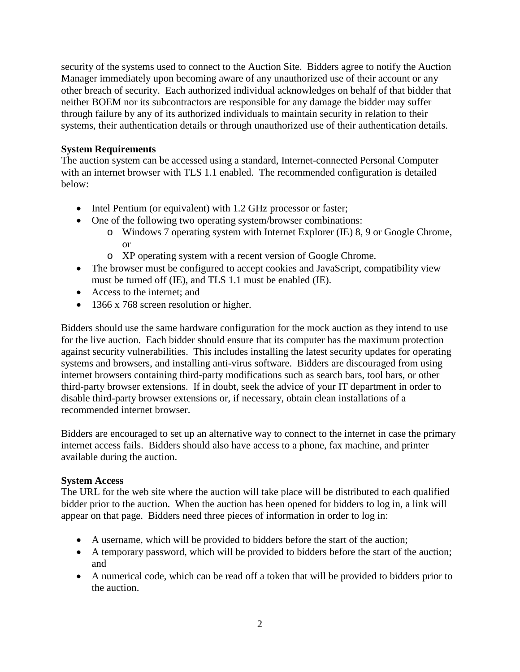security of the systems used to connect to the Auction Site. Bidders agree to notify the Auction Manager immediately upon becoming aware of any unauthorized use of their account or any other breach of security. Each authorized individual acknowledges on behalf of that bidder that neither BOEM nor its subcontractors are responsible for any damage the bidder may suffer through failure by any of its authorized individuals to maintain security in relation to their systems, their authentication details or through unauthorized use of their authentication details.

## **System Requirements**

The auction system can be accessed using a standard, Internet-connected Personal Computer with an internet browser with TLS 1.1 enabled. The recommended configuration is detailed below:

- Intel Pentium (or equivalent) with 1.2 GHz processor or faster;
- One of the following two operating system/browser combinations:
	- o Windows 7 operating system with Internet Explorer (IE) 8, 9 or Google Chrome, or
	- o XP operating system with a recent version of Google Chrome.
- The browser must be configured to accept cookies and JavaScript, compatibility view must be turned off (IE), and TLS 1.1 must be enabled (IE).
- Access to the internet; and
- 1366 x 768 screen resolution or higher.

Bidders should use the same hardware configuration for the mock auction as they intend to use for the live auction. Each bidder should ensure that its computer has the maximum protection against security vulnerabilities. This includes installing the latest security updates for operating systems and browsers, and installing anti-virus software. Bidders are discouraged from using internet browsers containing third-party modifications such as search bars, tool bars, or other third-party browser extensions. If in doubt, seek the advice of your IT department in order to disable third-party browser extensions or, if necessary, obtain clean installations of a recommended internet browser.

Bidders are encouraged to set up an alternative way to connect to the internet in case the primary internet access fails. Bidders should also have access to a phone, fax machine, and printer available during the auction.

# **System Access**

The URL for the web site where the auction will take place will be distributed to each qualified bidder prior to the auction. When the auction has been opened for bidders to log in, a link will appear on that page. Bidders need three pieces of information in order to log in:

- A username, which will be provided to bidders before the start of the auction;
- A temporary password, which will be provided to bidders before the start of the auction; and
- A numerical code, which can be read off a token that will be provided to bidders prior to the auction.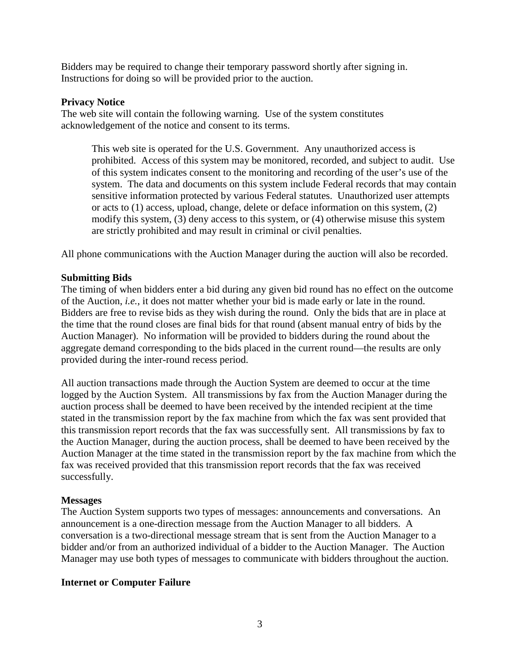Bidders may be required to change their temporary password shortly after signing in. Instructions for doing so will be provided prior to the auction.

#### **Privacy Notice**

The web site will contain the following warning. Use of the system constitutes acknowledgement of the notice and consent to its terms.

This web site is operated for the U.S. Government. Any unauthorized access is prohibited. Access of this system may be monitored, recorded, and subject to audit. Use of this system indicates consent to the monitoring and recording of the user's use of the system. The data and documents on this system include Federal records that may contain sensitive information protected by various Federal statutes. Unauthorized user attempts or acts to (1) access, upload, change, delete or deface information on this system, (2) modify this system, (3) deny access to this system, or (4) otherwise misuse this system are strictly prohibited and may result in criminal or civil penalties.

All phone communications with the Auction Manager during the auction will also be recorded.

### **Submitting Bids**

The timing of when bidders enter a bid during any given bid round has no effect on the outcome of the Auction, *i.e.*, it does not matter whether your bid is made early or late in the round. Bidders are free to revise bids as they wish during the round. Only the bids that are in place at the time that the round closes are final bids for that round (absent manual entry of bids by the Auction Manager). No information will be provided to bidders during the round about the aggregate demand corresponding to the bids placed in the current round—the results are only provided during the inter-round recess period.

All auction transactions made through the Auction System are deemed to occur at the time logged by the Auction System. All transmissions by fax from the Auction Manager during the auction process shall be deemed to have been received by the intended recipient at the time stated in the transmission report by the fax machine from which the fax was sent provided that this transmission report records that the fax was successfully sent. All transmissions by fax to the Auction Manager, during the auction process, shall be deemed to have been received by the Auction Manager at the time stated in the transmission report by the fax machine from which the fax was received provided that this transmission report records that the fax was received successfully.

### **Messages**

The Auction System supports two types of messages: announcements and conversations. An announcement is a one-direction message from the Auction Manager to all bidders. A conversation is a two-directional message stream that is sent from the Auction Manager to a bidder and/or from an authorized individual of a bidder to the Auction Manager. The Auction Manager may use both types of messages to communicate with bidders throughout the auction.

### **Internet or Computer Failure**